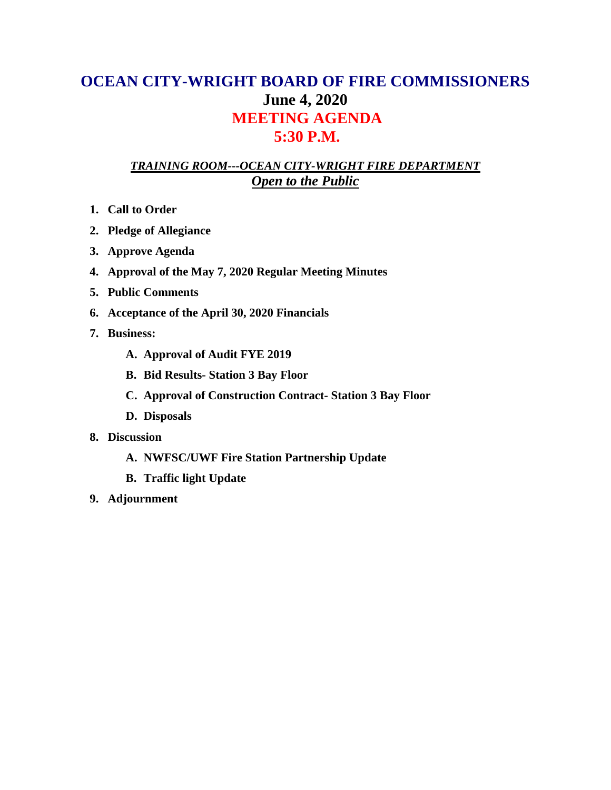### **OCEAN CITY-WRIGHT BOARD OF FIRE COMMISSIONERS June 4, 2020 MEETING AGENDA 5:30 P.M.**

### *TRAINING ROOM---OCEAN CITY-WRIGHT FIRE DEPARTMENT Open to the Public*

- **1. Call to Order**
- **2. Pledge of Allegiance**
- **3. Approve Agenda**
- **4. Approval of the May 7, 2020 Regular Meeting Minutes**
- **5. Public Comments**
- **6. Acceptance of the April 30, 2020 Financials**
- **7. Business:**
	- **A. Approval of Audit FYE 2019**
	- **B. Bid Results- Station 3 Bay Floor**
	- **C. Approval of Construction Contract- Station 3 Bay Floor**
	- **D. Disposals**
- **8. Discussion**
	- **A. NWFSC/UWF Fire Station Partnership Update**
	- **B. Traffic light Update**
- **9. Adjournment**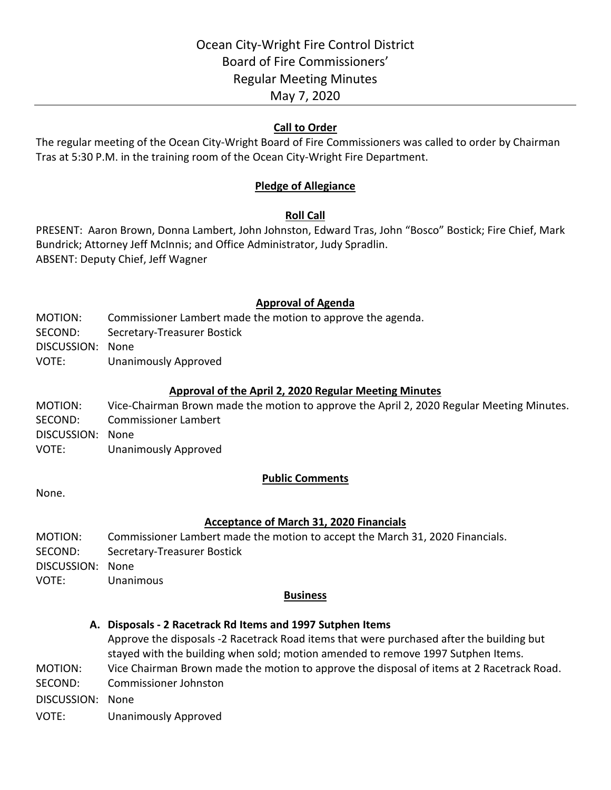### **Call to Order**

The regular meeting of the Ocean City-Wright Board of Fire Commissioners was called to order by Chairman Tras at 5:30 P.M. in the training room of the Ocean City-Wright Fire Department.

### **Pledge of Allegiance**

### **Roll Call**

PRESENT: Aaron Brown, Donna Lambert, John Johnston, Edward Tras, John "Bosco" Bostick; Fire Chief, Mark Bundrick; Attorney Jeff McInnis; and Office Administrator, Judy Spradlin. ABSENT: Deputy Chief, Jeff Wagner

### **Approval of Agenda**

- MOTION: Commissioner Lambert made the motion to approve the agenda.
- SECOND: Secretary-Treasurer Bostick

DISCUSSION: None

VOTE: Unanimously Approved

### **Approval of the April 2, 2020 Regular Meeting Minutes**

MOTION: Vice-Chairman Brown made the motion to approve the April 2, 2020 Regular Meeting Minutes. SECOND: Commissioner Lambert DISCUSSION: None VOTE: Unanimously Approved

### **Public Comments**

None.

### **Acceptance of March 31, 2020 Financials**

MOTION: Commissioner Lambert made the motion to accept the March 31, 2020 Financials. SECOND: Secretary-Treasurer Bostick DISCUSSION: None VOTE: Unanimous

### **Business**

### **A. Disposals - 2 Racetrack Rd Items and 1997 Sutphen Items**

Approve the disposals -2 Racetrack Road items that were purchased after the building but stayed with the building when sold; motion amended to remove 1997 Sutphen Items. MOTION: Vice Chairman Brown made the motion to approve the disposal of items at 2 Racetrack Road.

SECOND: Commissioner Johnston

DISCUSSION: None

VOTE: Unanimously Approved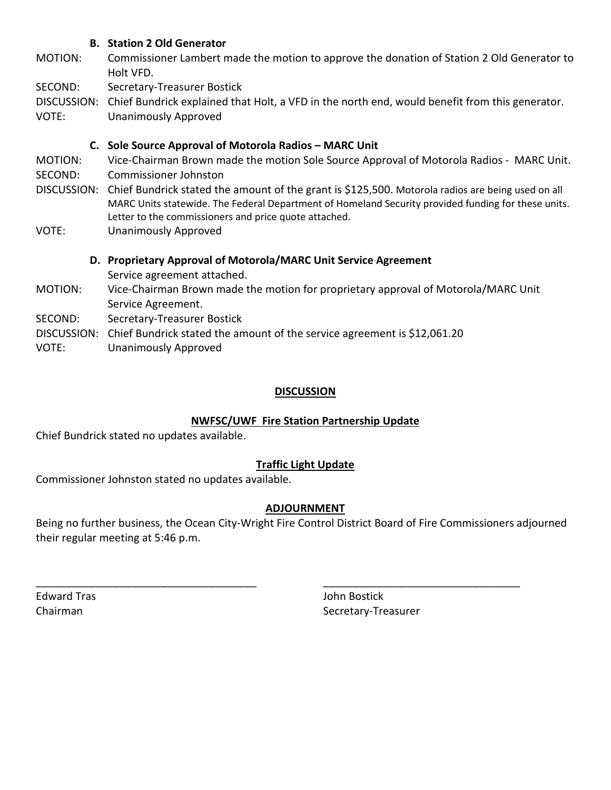### **B. Station 2 Old Generator**

- MOTION: Commissioner Lambert made the motion to approve the donation of Station 2 Old Generator to Holt VFD.
- SECOND: Secretary-Treasurer Bostick
- DISCUSSION: Chief Bundrick explained that Holt, a VFD in the north end, would benefit from this generator.
- VOTE: Unanimously Approved

### **C. Sole Source Approval of Motorola Radios – MARC Unit**

- MOTION: Vice-Chairman Brown made the motion Sole Source Approval of Motorola Radios MARC Unit.
- SECOND: Commissioner Johnston
- DISCUSSION: Chief Bundrick stated the amount of the grant is \$125,500. Motorola radios are being used on all MARC Units statewide. The Federal Department of Homeland Security provided funding for these units. Letter to the commissioners and price quote attached.
- VOTE: Unanimously Approved

### **D. Proprietary Approval of Motorola/MARC Unit Service Agreement**

- Service agreement attached.
- MOTION: Vice-Chairman Brown made the motion for proprietary approval of Motorola/MARC Unit Service Agreement.
- SECOND: Secretary-Treasurer Bostick
- DISCUSSION: Chief Bundrick stated the amount of the service agreement is \$12,061.20
- VOTE: Unanimously Approved

### **DISCUSSION**

### **NWFSC/UWF Fire Station Partnership Update**

Chief Bundrick stated no updates available.

### **Traffic Light Update**

Commissioner Johnston stated no updates available.

### **ADJOURNMENT**

Being no further business, the Ocean City-Wright Fire Control District Board of Fire Commissioners adjourned their regular meeting at 5:46 p.m.

\_\_\_\_\_\_\_\_\_\_\_\_\_\_\_\_\_\_\_\_\_\_\_\_\_\_\_\_\_\_\_\_\_\_\_\_\_ \_\_\_\_\_\_\_\_\_\_\_\_\_\_\_\_\_\_\_\_\_\_\_\_\_\_\_\_\_\_\_\_\_

Edward Tras John Bostick

Chairman Secretary-Treasurer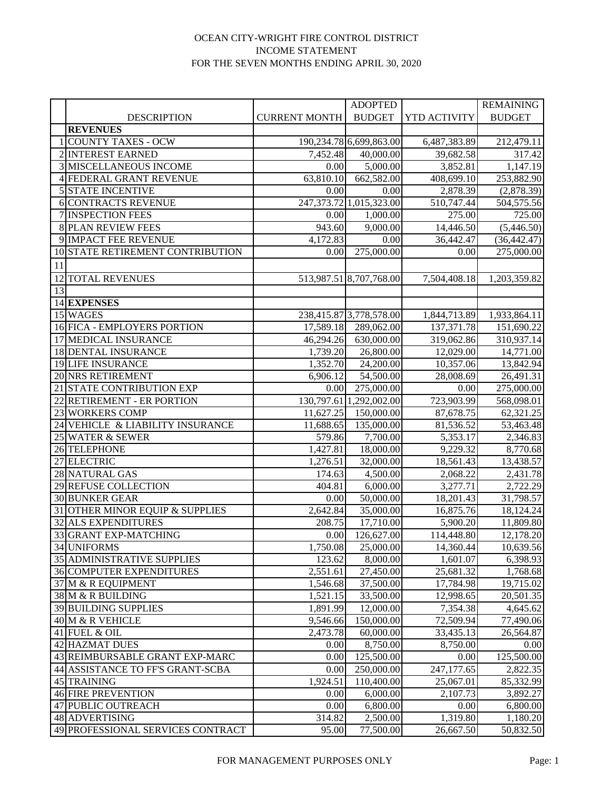### OCEAN CITY-WRIGHT FIRE CONTROL DISTRICT INCOME STATEMENT FOR THE SEVEN MONTHS ENDING APRIL 30, 2020

|    |                                   |                      | <b>ADOPTED</b>             |              | <b>REMAINING</b>      |
|----|-----------------------------------|----------------------|----------------------------|--------------|-----------------------|
|    | <b>DESCRIPTION</b>                | <b>CURRENT MONTH</b> | <b>BUDGET</b>              | YTD ACTIVITY | <b>BUDGET</b>         |
|    | <b>REVENUES</b>                   |                      |                            |              |                       |
|    | 1 COUNTY TAXES - OCW              |                      | 190,234.78 6,699,863.00    | 6,487,383.89 | 212,479.11            |
|    | 2 INTEREST EARNED                 | 7,452.48             | 40,000.00                  | 39,682.58    | 317.42                |
|    | <b>3 MISCELLANEOUS INCOME</b>     | 0.00                 | 5,000.00                   | 3,852.81     | 1,147.19              |
|    | 4 FEDERAL GRANT REVENUE           | 63,810.10            | 662,582.00                 | 408,699.10   | 253,882.90            |
|    | <b>5 STATE INCENTIVE</b>          | 0.00                 | 0.00                       | 2,878.39     | (2,878.39)            |
|    | <b>6 CONTRACTS REVENUE</b>        |                      | 247, 373.72 1, 015, 323.00 | 510,747.44   | 504,575.56            |
|    | 7 INSPECTION FEES                 | 0.00                 | 1,000.00                   | 275.00       | 725.00                |
|    | <b>8 PLAN REVIEW FEES</b>         | 943.60               | 9,000.00                   | 14,446.50    | (5,446.50)            |
|    | 9 IMPACT FEE REVENUE              | 4,172.83             | 0.00                       | 36,442.47    | (36, 442.47)          |
|    | 10 STATE RETIREMENT CONTRIBUTION  | 0.00                 | 275,000.00                 | 0.00         | 275,000.00            |
| 11 |                                   |                      |                            |              |                       |
|    | 12 TOTAL REVENUES                 |                      | 513,987.51 8,707,768.00    | 7,504,408.18 | 1,203,359.82          |
| 13 |                                   |                      |                            |              |                       |
|    | 14 EXPENSES                       |                      |                            |              |                       |
|    | 15 WAGES                          |                      | 238,415.87 3,778,578.00    | 1,844,713.89 | 1,933,864.11          |
|    | 16 FICA - EMPLOYERS PORTION       | 17,589.18            | 289,062.00                 | 137, 371. 78 | 151,690.22            |
|    | <b>17 MEDICAL INSURANCE</b>       | 46,294.26            | 630,000.00                 | 319,062.86   | 310,937.14            |
|    | <b>18 DENTAL INSURANCE</b>        | 1,739.20             | 26,800.00                  | 12,029.00    | 14,771.00             |
|    | 19 LIFE INSURANCE                 | 1,352.70             | 24,200.00                  | 10,357.06    | 13,842.94             |
|    | 20 NRS RETIREMENT                 | 6,906.12             | 54,500.00                  | 28,008.69    | 26,491.31             |
|    | 21 STATE CONTRIBUTION EXP         | 0.00                 | 275,000.00                 | 0.00         | 275,000.00            |
|    | 22 RETIREMENT - ER PORTION        |                      | 130,797.61 1,292,002.00    | 723,903.99   | 568,098.01            |
|    | 23 WORKERS COMP                   | 11,627.25            | 150,000.00                 | 87,678.75    | 62,321.25             |
|    | 24 VEHICLE & LIABILITY INSURANCE  | 11,688.65            | 135,000.00                 | 81,536.52    | 53,463.48             |
|    | 25 WATER & SEWER                  | 579.86               | 7,700.00                   | 5,353.17     | 2,346.83              |
|    | 26 TELEPHONE                      | 1,427.81             | 18,000.00                  | 9,229.32     | 8,770.68              |
|    | 27 ELECTRIC                       | 1,276.51             | 32,000.00                  | 18,561.43    | 13,438.57             |
|    | 28 NATURAL GAS                    | 174.63               | 4,500.00                   | 2,068.22     | $\overline{2},431.78$ |
|    | 29 REFUSE COLLECTION              | 404.81               | 6,000.00                   | 3,277.71     | 2,722.29              |
|    | <b>30 BUNKER GEAR</b>             | 0.00                 | 50,000.00                  | 18,201.43    | 31,798.57             |
|    | 31 OTHER MINOR EQUIP & SUPPLIES   | 2,642.84             | 35,000.00                  | 16,875.76    | 18,124.24             |
|    | 32 ALS EXPENDITURES               | 208.75               | 17,710.00                  | 5,900.20     | 11,809.80             |
|    | 33 GRANT EXP-MATCHING             | 0.00                 | 126,627.00                 | 114,448.80   | 12,178.20             |
|    | 34 UNIFORMS                       | 1,750.08             | 25,000.00                  | 14,360.44    | 10,639.56             |
|    | 35 ADMINISTRATIVE SUPPLIES        | 123.62               | 8,000.00                   | 1,601.07     | 6,398.93              |
|    | <b>36 COMPUTER EXPENDITURES</b>   | 2,551.61             | 27,450.00                  | 25,681.32    | 1,768.68              |
|    | 37 M & R EQUIPMENT                | 1,546.68             | 37,500.00                  | 17,784.98    | 19,715.02             |
|    | 38 M & R BUILDING                 | 1,521.15             | 33,500.00                  | 12,998.65    | 20,501.35             |
|    | <b>39 BUILDING SUPPLIES</b>       | 1,891.99             | 12,000.00                  | 7,354.38     | 4,645.62              |
|    | 40 M & R VEHICLE                  | 9,546.66             | 150,000.00                 | 72,509.94    | 77,490.06             |
|    | 41 FUEL & OIL                     | 2,473.78             | 60,000.00                  | 33,435.13    | 26,564.87             |
|    | 42 HAZMAT DUES                    | 0.00                 | 8,750.00                   | 8,750.00     | 0.00                  |
|    | 43 REIMBURSABLE GRANT EXP-MARC    | 0.00                 | 125,500.00                 | 0.00         | 125,500.00            |
|    | 44 ASSISTANCE TO FF'S GRANT-SCBA  | 0.00                 | 250,000.00                 | 247,177.65   | 2,822.35              |
|    | 45 TRAINING                       | 1,924.51             | 110,400.00                 | 25,067.01    | 85,332.99             |
|    | <b>46 FIRE PREVENTION</b>         | 0.00                 | 6,000.00                   | 2,107.73     | 3,892.27              |
|    | 47 PUBLIC OUTREACH                | 0.00                 | 6,800.00                   | 0.00         | 6,800.00              |
|    | 48 ADVERTISING                    | 314.82               | 2,500.00                   | 1,319.80     | 1,180.20              |
|    | 49 PROFESSIONAL SERVICES CONTRACT | 95.00                | 77,500.00                  | 26,667.50    | 50,832.50             |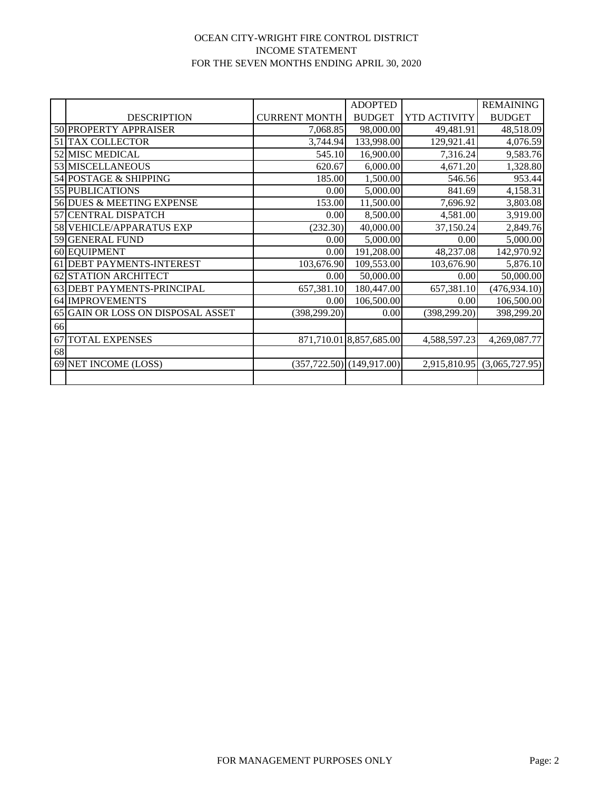### OCEAN CITY-WRIGHT FIRE CONTROL DISTRICT INCOME STATEMENT FOR THE SEVEN MONTHS ENDING APRIL 30, 2020

|    |                                   |                      | <b>ADOPTED</b>                  |               | <b>REMAINING</b> |
|----|-----------------------------------|----------------------|---------------------------------|---------------|------------------|
|    | <b>DESCRIPTION</b>                | <b>CURRENT MONTH</b> | <b>BUDGET</b>                   | YTD ACTIVITY  | <b>BUDGET</b>    |
|    | 50 PROPERTY APPRAISER             | 7,068.85             | 98,000.00                       | 49,481.91     | 48,518.09        |
|    | 51 TAX COLLECTOR                  | 3,744.94             | 133,998.00                      | 129,921.41    | 4,076.59         |
|    | 52 MISC MEDICAL                   | 545.10               | 16,900.00                       | 7,316.24      | 9,583.76         |
|    | 53 MISCELLANEOUS                  | 620.67               | 6,000.00                        | 4,671.20      | 1,328.80         |
|    | 54 POSTAGE & SHIPPING             | 185.00               | 1,500.00                        | 546.56        | 953.44           |
|    | 55 PUBLICATIONS                   | 0.00                 | 5,000.00                        | 841.69        | 4,158.31         |
|    | 56 DUES & MEETING EXPENSE         | 153.00               | 11,500.00                       | 7,696.92      | 3,803.08         |
|    | 57 CENTRAL DISPATCH               | 0.00                 | 8,500.00                        | 4,581.00      | 3,919.00         |
|    | 58 VEHICLE/APPARATUS EXP          | (232.30)             | 40,000.00                       | 37,150.24     | 2,849.76         |
|    | 59 GENERAL FUND                   | 0.00                 | 5,000.00                        | 0.00          | 5,000.00         |
|    | 60 EQUIPMENT                      | 0.00                 | 191,208.00                      | 48,237.08     | 142,970.92       |
|    | 61 DEBT PAYMENTS-INTEREST         | 103,676.90           | 109,553.00                      | 103,676.90    | 5,876.10         |
|    | 62 STATION ARCHITECT              | 0.00                 | 50,000.00                       | 0.00          | 50,000.00        |
|    | 63 DEBT PAYMENTS-PRINCIPAL        | 657,381.10           | 180,447.00                      | 657,381.10    | (476, 934.10)    |
|    | 64 IMPROVEMENTS                   | 0.00                 | 106,500.00                      | 0.00          | 106,500.00       |
|    | 65 GAIN OR LOSS ON DISPOSAL ASSET | (398, 299.20)        | 0.00                            | (398, 299.20) | 398,299.20       |
| 66 |                                   |                      |                                 |               |                  |
| 67 | <b>TOTAL EXPENSES</b>             |                      | 871,710.01 8,857,685.00         | 4,588,597.23  | 4,269,087.77     |
| 68 |                                   |                      |                                 |               |                  |
|    | 69 NET INCOME (LOSS)              |                      | $(357, 722.50)$ $(149, 917.00)$ | 2,915,810.95  | (3,065,727.95)   |
|    |                                   |                      |                                 |               |                  |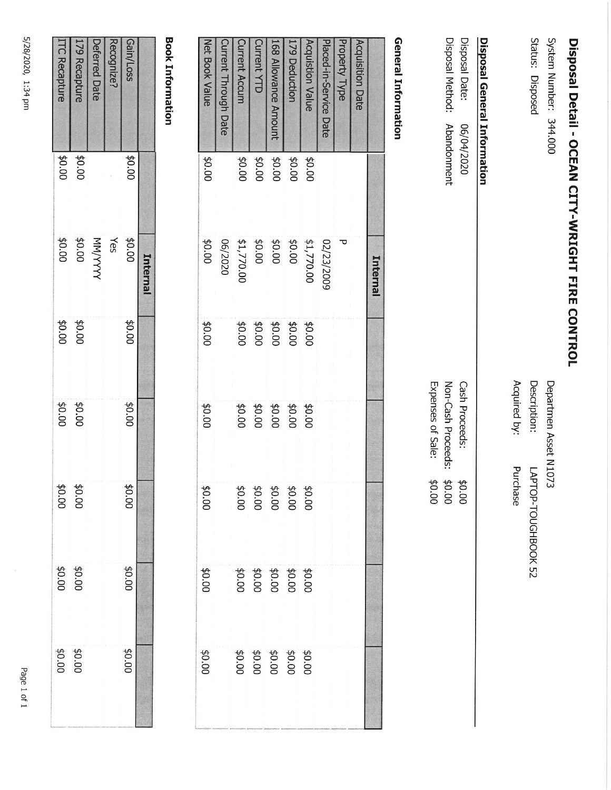5/28/2020, 1:34 pm

|                      |              | Internal |                |        |                |                         |                |
|----------------------|--------------|----------|----------------|--------|----------------|-------------------------|----------------|
| Gain/Loss            | \$0.00       | \$0.00   | 00.0\$         | 00'0\$ | 00'0\$         | 00'0\$                  | 00.0\$         |
| cognize?             |              | Yes      |                |        |                |                         |                |
| <b>Deferred Date</b> |              |          |                |        |                |                         |                |
| 179 Recapture        | <b>20.00</b> | MN/YYYYY |                | \$0.00 |                |                         |                |
| <b>TC Recapture</b>  | \$0.00       | \$0.00   | 00.04<br>00.04 | 00'0\$ | 00.04<br>00.04 | <b>\$0.00</b><br>\$0.00 | 00.04<br>00.04 |

|                             |        | <b>THERE</b>            |                                  |                            |                                      |                                      |                                      |
|-----------------------------|--------|-------------------------|----------------------------------|----------------------------|--------------------------------------|--------------------------------------|--------------------------------------|
| <b>Acquisition Date</b>     |        |                         |                                  |                            |                                      |                                      |                                      |
| Property Type               |        | ъ                       |                                  |                            |                                      |                                      |                                      |
| Placed-in-Service Date      |        | 02/23/2009              |                                  |                            |                                      |                                      |                                      |
| <b>Acquistion Value</b>     | 00'0\$ | \$1,770.00              |                                  | 00'0\$                     |                                      |                                      |                                      |
| 179 Deduction               | 00'0\$ | 00'0\$                  |                                  |                            |                                      |                                      |                                      |
| 168 Allowance Amount        | 40.00  | <b>\$0.00</b><br>\$0.00 | #0:00<br>#0:00<br>#0:00<br>#0:00 | \$0.00<br>\$0.00<br>\$0.00 | 00'0\$<br>00'0\$<br>00'0\$<br>00'0\$ | \$0.00<br>\$0.00<br>\$0.00<br>\$0.00 | \$0.00<br>\$0.00<br>\$0.00<br>\$0.00 |
| <b>Current YTD</b>          | 00'0\$ |                         |                                  |                            |                                      |                                      |                                      |
| <b>Current Accum</b>        | 40.00  | \$1,770.00              |                                  |                            |                                      |                                      |                                      |
| <b>Current Through Date</b> |        | 06/2020                 |                                  |                            |                                      |                                      |                                      |
| Net Book Value              | \$0.00 | \$0.00                  | \$0.00                           | 00'0\$                     | \$0.00                               | 00'0\$                               | <b>20.00</b>                         |

## **Book Information**

### Disposal Method: Disposal Date: **Disposal General Information** Abandonment 06/04/2020

Expenses of Sale: Non-Cash Proceeds: Cash Proceeds: \$0.00 \$0.00 00'0\$

# **General Information**

Status: Disposed

System Number: 344.000

Disposal Detail - OCEAN CITY-WRIGHT FIRE CONTROL

Acquired by: Description: Departmen Asset N1073 Purchase LAPTOP-TOUGHBOOK 52

Page 1 of 1